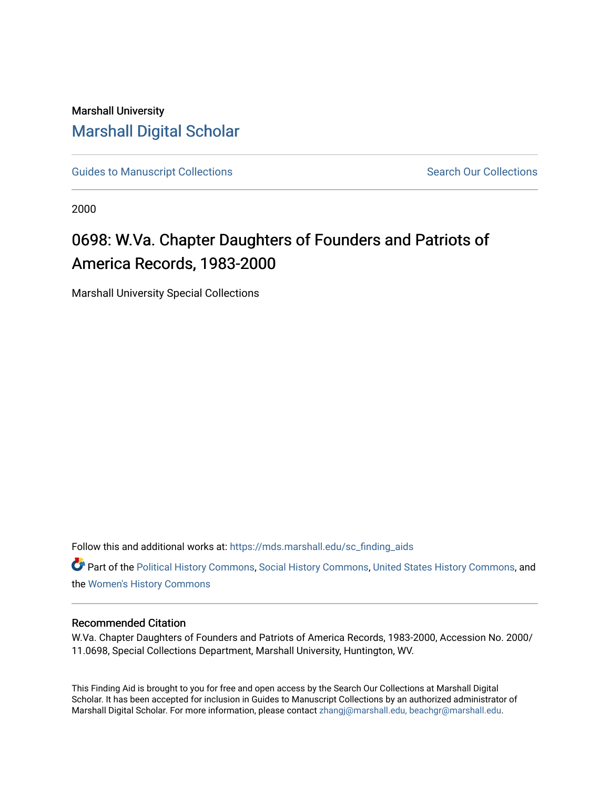## Marshall University [Marshall Digital Scholar](https://mds.marshall.edu/)

[Guides to Manuscript Collections](https://mds.marshall.edu/sc_finding_aids) **Search Our Collections** Search Our Collections

2000

# 0698: W.Va. Chapter Daughters of Founders and Patriots of America Records, 1983-2000

Marshall University Special Collections

Follow this and additional works at: [https://mds.marshall.edu/sc\\_finding\\_aids](https://mds.marshall.edu/sc_finding_aids?utm_source=mds.marshall.edu%2Fsc_finding_aids%2F610&utm_medium=PDF&utm_campaign=PDFCoverPages) 

Part of the [Political History Commons,](http://network.bepress.com/hgg/discipline/505?utm_source=mds.marshall.edu%2Fsc_finding_aids%2F610&utm_medium=PDF&utm_campaign=PDFCoverPages) [Social History Commons](http://network.bepress.com/hgg/discipline/506?utm_source=mds.marshall.edu%2Fsc_finding_aids%2F610&utm_medium=PDF&utm_campaign=PDFCoverPages), [United States History Commons,](http://network.bepress.com/hgg/discipline/495?utm_source=mds.marshall.edu%2Fsc_finding_aids%2F610&utm_medium=PDF&utm_campaign=PDFCoverPages) and the [Women's History Commons](http://network.bepress.com/hgg/discipline/507?utm_source=mds.marshall.edu%2Fsc_finding_aids%2F610&utm_medium=PDF&utm_campaign=PDFCoverPages)

#### Recommended Citation

W.Va. Chapter Daughters of Founders and Patriots of America Records, 1983-2000, Accession No. 2000/ 11.0698, Special Collections Department, Marshall University, Huntington, WV.

This Finding Aid is brought to you for free and open access by the Search Our Collections at Marshall Digital Scholar. It has been accepted for inclusion in Guides to Manuscript Collections by an authorized administrator of Marshall Digital Scholar. For more information, please contact [zhangj@marshall.edu, beachgr@marshall.edu](mailto:zhangj@marshall.edu,%20beachgr@marshall.edu).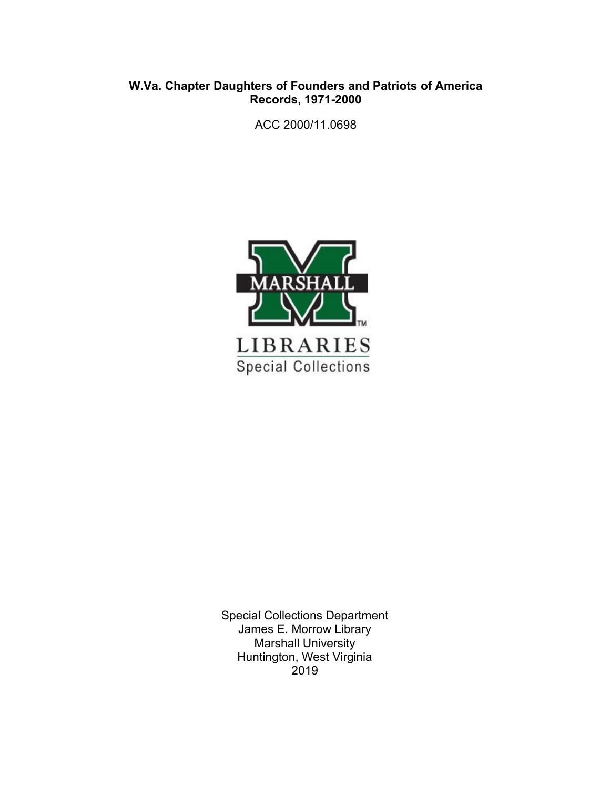#### **W.Va. Chapter Daughters of Founders and Patriots of America Records, 1971-2000**

ACC 2000/11.0698



Special Collections Department James E. Morrow Library Marshall University Huntington, West Virginia 2019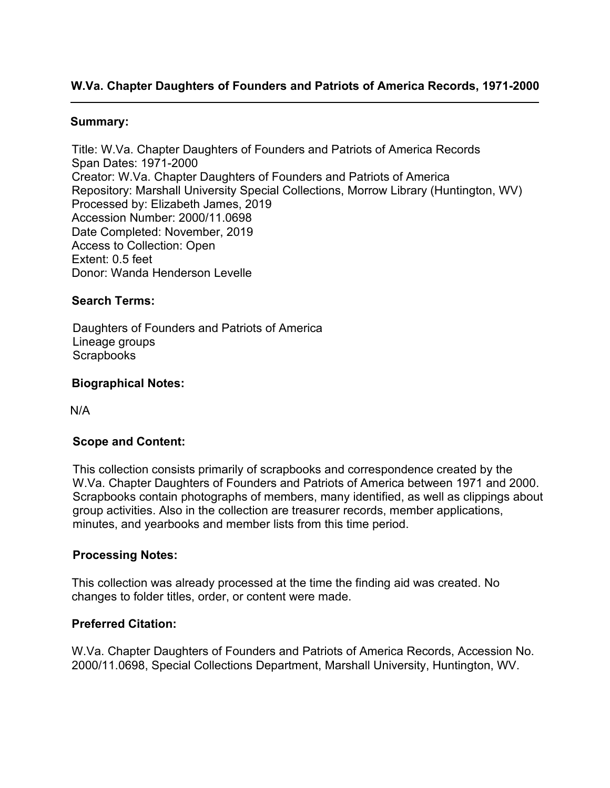### **W.Va. Chapter Daughters of Founders and Patriots of America Records, 1971-2000**

#### **Summary:**

Title: W.Va. Chapter Daughters of Founders and Patriots of America Records Span Dates: 1971-2000 Creator: W.Va. Chapter Daughters of Founders and Patriots of America Repository: Marshall University Special Collections, Morrow Library (Huntington, WV) Processed by: Elizabeth James, 2019 Accession Number: 2000/11.0698 Date Completed: November, 2019 Access to Collection: Open Extent: 0.5 feet Donor: Wanda Henderson Levelle

#### **Search Terms:**

Daughters of Founders and Patriots of America Lineage groups **Scrapbooks** 

#### **Biographical Notes:**

N/A

#### **Scope and Content:**

This collection consists primarily of scrapbooks and correspondence created by the W.Va. Chapter Daughters of Founders and Patriots of America between 1971 and 2000. Scrapbooks contain photographs of members, many identified, as well as clippings about group activities. Also in the collection are treasurer records, member applications, minutes, and yearbooks and member lists from this time period.

#### **Processing Notes:**

This collection was already processed at the time the finding aid was created. No changes to folder titles, order, or content were made.

#### **Preferred Citation:**

W.Va. Chapter Daughters of Founders and Patriots of America Records, Accession No. 2000/11.0698, Special Collections Department, Marshall University, Huntington, WV.